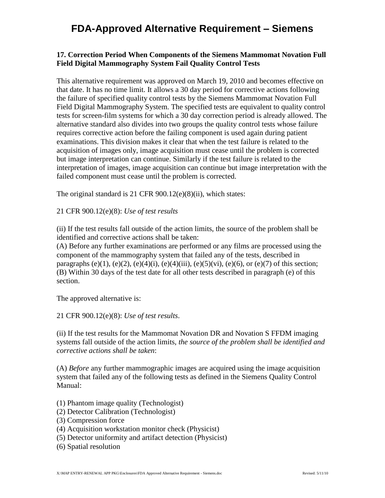## **FDA-Approved Alternative Requirement – Siemens**

## **17. Correction Period When Components of the Siemens Mammomat Novation Full Field Digital Mammography System Fail Quality Control Tests**

This alternative requirement was approved on March 19, 2010 and becomes effective on that date. It has no time limit. It allows a 30 day period for corrective actions following the failure of specified quality control tests by the Siemens Mammomat Novation Full Field Digital Mammography System. The specified tests are equivalent to quality control tests for screen-film systems for which a 30 day correction period is already allowed. The alternative standard also divides into two groups the quality control tests whose failure requires corrective action before the failing component is used again during patient examinations. This division makes it clear that when the test failure is related to the acquisition of images only, image acquisition must cease until the problem is corrected but image interpretation can continue. Similarly if the test failure is related to the interpretation of images, image acquisition can continue but image interpretation with the failed component must cease until the problem is corrected.

The original standard is 21 CFR 900.12(e)(8)(ii), which states:

21 CFR 900.12(e)(8): *Use of test results*

(ii) If the test results fall outside of the action limits, the source of the problem shall be identified and corrective actions shall be taken:

(A) Before any further examinations are performed or any films are processed using the component of the mammography system that failed any of the tests, described in paragraphs (e)(1), (e)(2), (e)(4)(i), (e)(4)(iii), (e)(5)(vi), (e)(6), or (e)(7) of this section; (B) Within 30 days of the test date for all other tests described in paragraph (e) of this section.

The approved alternative is:

21 CFR 900.12(e)(8): *Use of test results*.

(ii) If the test results for the Mammomat Novation DR and Novation S FFDM imaging systems fall outside of the action limits, *the source of the problem shall be identified and corrective actions shall be taken*:

(A) *Before* any further mammographic images are acquired using the image acquisition system that failed any of the following tests as defined in the Siemens Quality Control Manual:

- (1) Phantom image quality (Technologist)
- (2) Detector Calibration (Technologist)
- (3) Compression force
- (4) Acquisition workstation monitor check (Physicist)
- (5) Detector uniformity and artifact detection (Physicist)
- (6) Spatial resolution